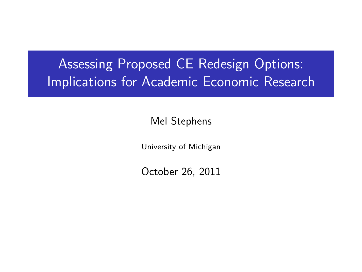# **Assessing Proposed CE Redesign Options:** Implications for Academic Economic Research

Mel Stephens

University of Michigan

<span id="page-0-0"></span>October 26, 2011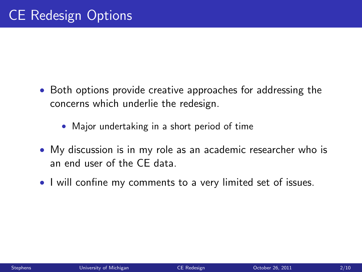- Both options provide creative approaches for addressing the concerns which underlie the redesign.
	- Major undertaking in a short period of time
- My discussion is in my role as an academic researcher who is an end user of the CE data.
- I will confine my comments to a very limited set of issues.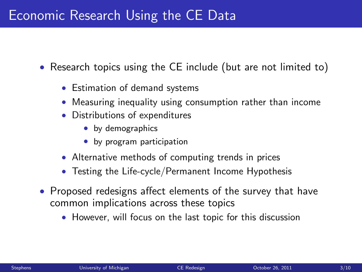#### Economic Research Using the CE Data

- Research topics using the CE include (but are not limited to)
	- Estimation of demand systems
	- Measuring inequality using consumption rather than income
	- Distributions of expenditures
		- by demographics
		- by program participation
	- Alternative methods of computing trends in prices
	- Testing the Life-cycle/Permanent Income Hypothesis
- Proposed redesigns affect elements of the survey that have common implications across these topics
	- However, will focus on the last topic for this discussion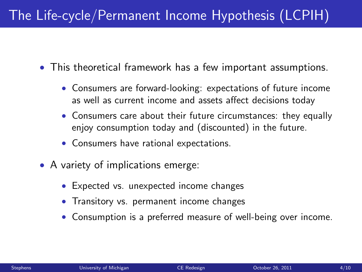# The Life-cycle/Permanent Income Hypothesis (LCPIH)

- This theoretical framework has a few important assumptions.
	- Consumers are forward-looking: expectations of future income as well as current income and assets affect decisions today
	- Consumers care about their future circumstances: they equally enjoy consumption today and (discounted) in the future.
	- Consumers have rational expectations.
- A variety of implications emerge:
	- Expected vs. unexpected income changes
	- Transitory vs. permanent income changes
	- Consumption is a preferred measure of well-being over income.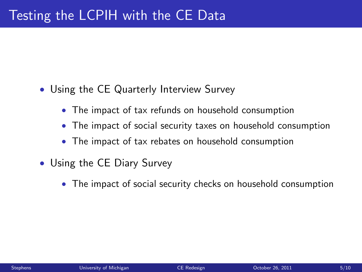- Using the CE Quarterly Interview Survey
	- The impact of tax refunds on household consumption
	- The impact of social security taxes on household consumption
	- The impact of tax rebates on household consumption
- Using the CE Diary Survey
	- The impact of social security checks on household consumption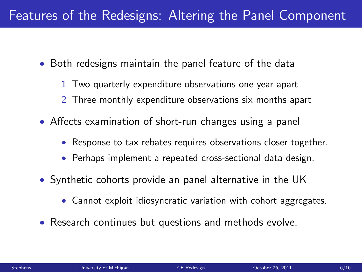# Features of the Redesigns: Altering the Panel Component

- Both redesigns maintain the panel feature of the data
	- 1 Two quarterly expenditure observations one year apart
	- 2 Three monthly expenditure observations six months apart
- Affects examination of short-run changes using a panel
	- Response to tax rebates requires observations closer together.
	- Perhaps implement a repeated cross-sectional data design.
- Synthetic cohorts provide an panel alternative in the UK
	- Cannot exploit idiosyncratic variation with cohort aggregates.
- Research continues but questions and methods evolve.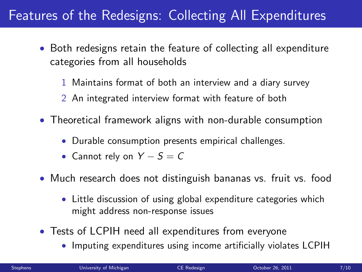# Features of the Redesigns: Collecting All Expenditures

- Both redesigns retain the feature of collecting all expenditure categories from all households
	- 1 Maintains format of both an interview and a diary survey
	- 2 An integrated interview format with feature of both
- Theoretical framework aligns with non-durable consumption
	- Durable consumption presents empirical challenges.
	- Cannot rely on  $Y S = C$
- Much research does not distinguish bananas vs. fruit vs. food
	- Little discussion of using global expenditure categories which might address non-response issues
- Tests of LCPIH need all expenditures from everyone
	- Imputing expenditures using income artificially violates LCPIH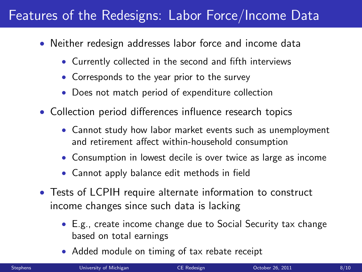### Features of the Redesigns: Labor Force/Income Data

- Neither redesign addresses labor force and income data
	- Currently collected in the second and fifth interviews
	- Corresponds to the year prior to the survey
	- Does not match period of expenditure collection
- Collection period differences influence research topics
	- Cannot study how labor market events such as unemployment and retirement affect within-household consumption
	- Consumption in lowest decile is over twice as large as income
	- Cannot apply balance edit methods in field
- Tests of LCPIH require alternate information to construct income changes since such data is lacking
	- E.g., create income change due to Social Security tax change based on total earnings
	- Added module on timing of tax rebate receipt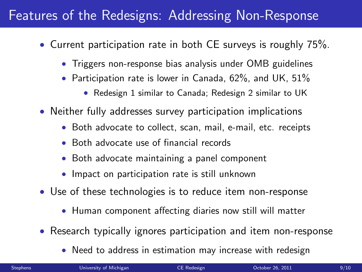## Features of the Redesigns: Addressing Non-Response

- Current participation rate in both CE surveys is roughly 75%.
	- Triggers non-response bias analysis under OMB guidelines
	- Participation rate is lower in Canada, 62%, and UK, 51%
		- Redesign 1 similar to Canada; Redesign 2 similar to UK
- Neither fully addresses survey participation implications
	- Both advocate to collect, scan, mail, e-mail, etc. receipts
	- Both advocate use of financial records
	- Both advocate maintaining a panel component
	- Impact on participation rate is still unknown
- Use of these technologies is to reduce item non-response
	- Human component affecting diaries now still will matter
- Research typically ignores participation and item non-response
	- Need to address in estimation may increase with redesign